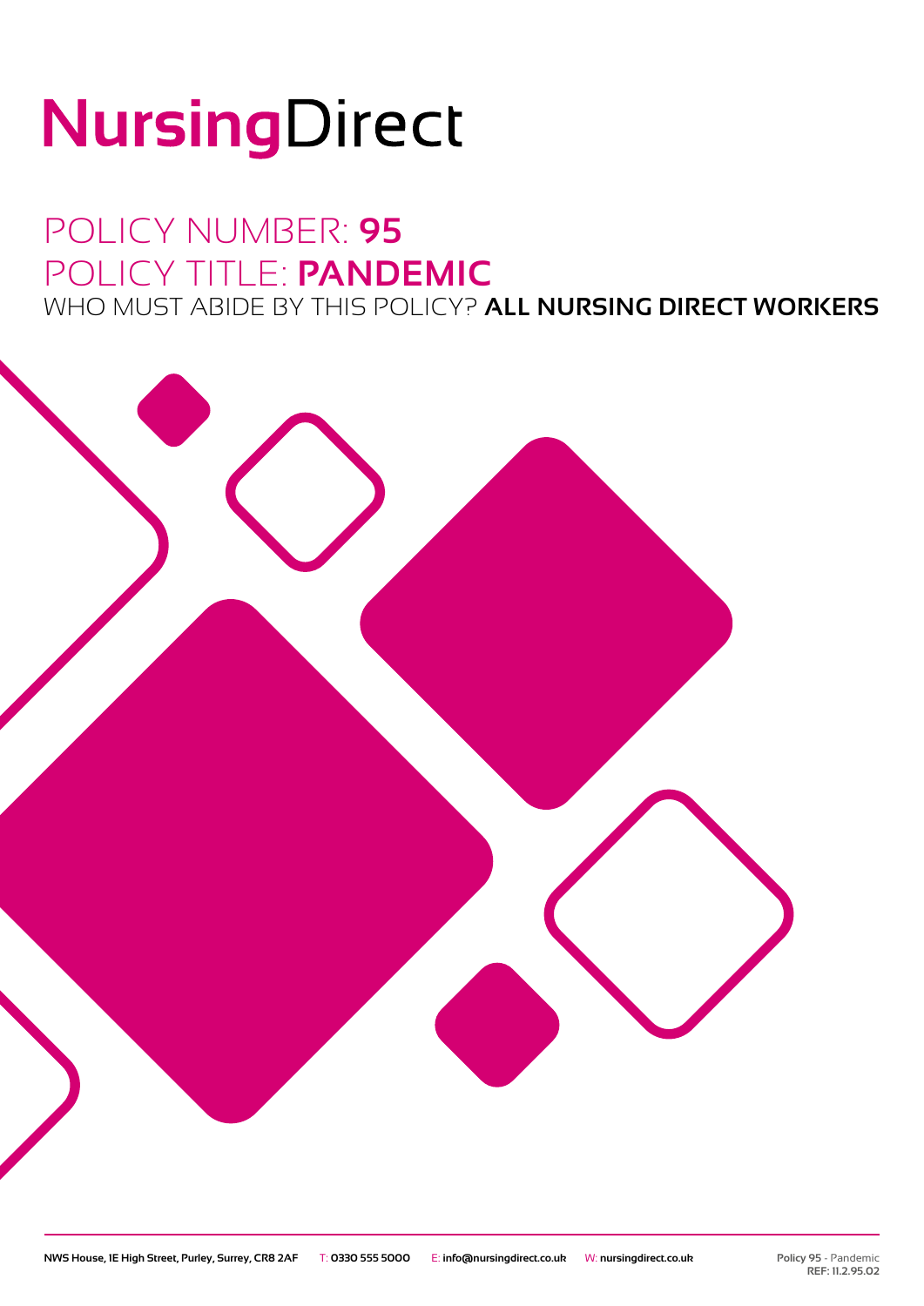# NursingDirect

### POLICY NUMBER: **95** POLICY TITLE: **PANDEMIC** WHO MUST ABIDE BY THIS POLICY? **ALL NURSING DIRECT WORKERS**